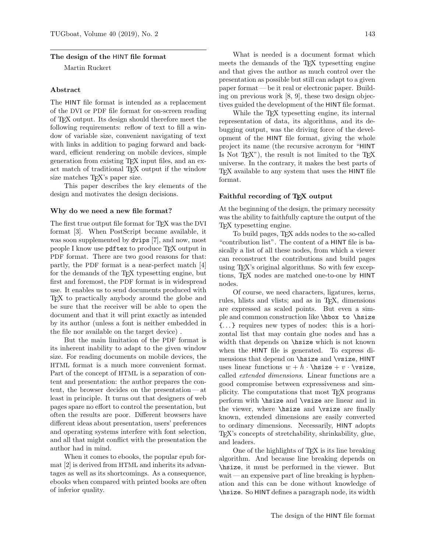### The design of the HINT file format

Martin Ruckert

#### Abstract

The HINT file format is intended as a replacement of the DVI or PDF file format for on-screen reading of TEX output. Its design should therefore meet the following requirements: reflow of text to fill a window of variable size, convenient navigating of text with links in addition to paging forward and backward, efficient rendering on mobile devices, simple generation from existing TEX input files, and an exact match of traditional T<sub>E</sub>X output if the window size matches T<sub>EX</sub>'s paper size.

This paper describes the key elements of the design and motivates the design decisions.

#### Why do we need a new file format?

The first true output file format for T<sub>E</sub>X was the DVI format [3]. When PostScript became available, it was soon supplemented by dvips [7], and now, most people I know use pdftex to produce T<sub>E</sub>X output in PDF format. There are two good reasons for that: partly, the PDF format is a near-perfect match [4] for the demands of the T<sub>EX</sub> typesetting engine, but first and foremost, the PDF format is in widespread use. It enables us to send documents produced with TEX to practically anybody around the globe and be sure that the receiver will be able to open the document and that it will print exactly as intended by its author (unless a font is neither embedded in the file nor available on the target device) .

But the main limitation of the PDF format is its inherent inability to adapt to the given window size. For reading documents on mobile devices, the HTML format is a much more convenient format. Part of the concept of HTML is a separation of content and presentation: the author prepares the content, the browser decides on the presentation — at least in principle. It turns out that designers of web pages spare no effort to control the presentation, but often the results are poor. Different browsers have different ideas about presentation, users' preferences and operating systems interfere with font selection, and all that might conflict with the presentation the author had in mind.

When it comes to ebooks, the popular epub format [2] is derived from HTML and inherits its advantages as well as its shortcomings. As a consequence, ebooks when compared with printed books are often of inferior quality.

What is needed is a document format which meets the demands of the TEX typesetting engine and that gives the author as much control over the presentation as possible but still can adapt to a given paper format— be it real or electronic paper. Building on previous work [8, 9], these two design objectives guided the development of the HINT file format.

While the T<sub>EX</sub> typesetting engine, its internal representation of data, its algorithms, and its debugging output, was the driving force of the development of the HINT file format, giving the whole project its name (the recursive acronym for "HINT Is Not  $T_{F}X''$ , the result is not limited to the  $T_{F}X$ universe. In the contrary, it makes the best parts of T<sub>F</sub>X available to any system that uses the HINT file format.

### Faithful recording of T<sub>F</sub>X output

At the beginning of the design, the primary necessity was the ability to faithfully capture the output of the TEX typesetting engine.

To build pages, TEX adds nodes to the so-called "contribution list". The content of a HINT file is basically a list of all these nodes, from which a viewer can reconstruct the contributions and build pages using TEX's original algorithms. So with few exceptions, TEX nodes are matched one-to-one by HINT nodes.

Of course, we need characters, ligatures, kerns, rules, hlists and vlists; and as in TEX, dimensions are expressed as scaled points. But even a simple and common construction like \hbox to \hsize {. . . } requires new types of nodes: this is a horizontal list that may contain glue nodes and has a width that depends on \hsize which is not known when the HINT file is generated. To express dimensions that depend on \hsize and \vsize, HINT uses linear functions  $w + h \cdot \text{hsize} + v \cdot \text{vsize}$ , called extended dimensions. Linear functions are a good compromise between expressiveness and simplicity. The computations that most TEX programs perform with \hsize and \vsize are linear and in the viewer, where \hsize and \vsize are finally known, extended dimensions are easily converted to ordinary dimensions. Necessarily, HINT adopts TEX's concepts of stretchability, shrinkability, glue, and leaders.

One of the highlights of TEX is its line breaking algorithm. And because line breaking depends on \hsize, it must be performed in the viewer. But wait — an expensive part of line breaking is hyphenation and this can be done without knowledge of \hsize. So HINT defines a paragraph node, its width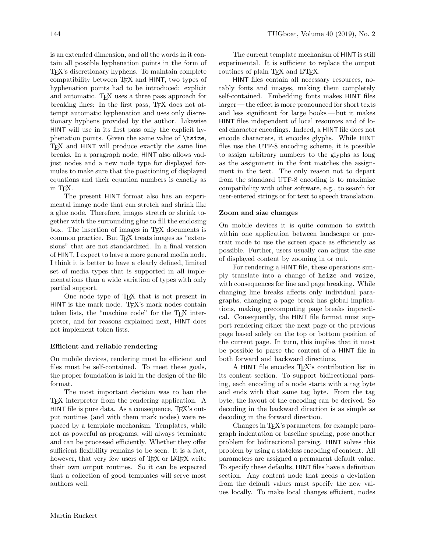is an extended dimension, and all the words in it contain all possible hyphenation points in the form of TEX's discretionary hyphens. To maintain complete compatibility between TEX and HINT, two types of hyphenation points had to be introduced: explicit and automatic. T<sub>F</sub>X uses a three pass approach for breaking lines: In the first pass, TEX does not attempt automatic hyphenation and uses only discretionary hyphens provided by the author. Likewise HINT will use in its first pass only the explicit hyphenation points. Given the same value of \hsize, TEX and HINT will produce exactly the same line breaks. In a paragraph node, HINT also allows vadjust nodes and a new node type for displayed formulas to make sure that the positioning of displayed equations and their equation numbers is exactly as in TEX.

The present HINT format also has an experimental image node that can stretch and shrink like a glue node. Therefore, images stretch or shrink together with the surrounding glue to fill the enclosing box. The insertion of images in TEX documents is common practice. But TEX treats images as "extensions" that are not standardized. In a final version of HINT, I expect to have a more general media node. I think it is better to have a clearly defined, limited set of media types that is supported in all implementations than a wide variation of types with only partial support.

One node type of T<sub>E</sub>X that is not present in HINT is the mark node. TFX's mark nodes contain token lists, the "machine code" for the TEX interpreter, and for reasons explained next, HINT does not implement token lists.

# Efficient and reliable rendering

On mobile devices, rendering must be efficient and files must be self-contained. To meet these goals, the proper foundation is laid in the design of the file format.

The most important decision was to ban the TEX interpreter from the rendering application. A HINT file is pure data. As a consequence, TEX's output routines (and with them mark nodes) were replaced by a template mechanism. Templates, while not as powerful as programs, will always terminate and can be processed efficiently. Whether they offer sufficient flexibility remains to be seen. It is a fact, however, that very few users of T<sub>EX</sub> or LAT<sub>EX</sub> write their own output routines. So it can be expected that a collection of good templates will serve most authors well.

The current template mechanism of HINT is still experimental. It is sufficient to replace the output routines of plain TFX and L<sup>AT</sup>FX.

HINT files contain all necessary resources, notably fonts and images, making them completely self-contained. Embedding fonts makes HINT files larger — the effect is more pronounced for short texts and less significant for large books — but it makes HINT files independent of local resources and of local character encodings. Indeed, a HINT file does not encode characters, it encodes glyphs. While HINT files use the UTF-8 encoding scheme, it is possible to assign arbitrary numbers to the glyphs as long as the assignment in the font matches the assignment in the text. The only reason not to depart from the standard UTF-8 encoding is to maximize compatibility with other software, e.g., to search for user-entered strings or for text to speech translation.

### Zoom and size changes

On mobile devices it is quite common to switch within one application between landscape or portrait mode to use the screen space as efficiently as possible. Further, users usually can adjust the size of displayed content by zooming in or out.

For rendering a HINT file, these operations simply translate into a change of hsize and vsize, with consequences for line and page breaking. While changing line breaks affects only individual paragraphs, changing a page break has global implications, making precomputing page breaks impractical. Consequently, the HINT file format must support rendering either the next page or the previous page based solely on the top or bottom position of the current page. In turn, this implies that it must be possible to parse the content of a HINT file in both forward and backward directions.

A HINT file encodes TEX's contribution list in its content section. To support bidirectional parsing, each encoding of a node starts with a tag byte and ends with that same tag byte. From the tag byte, the layout of the encoding can be derived. So decoding in the backward direction is as simple as decoding in the forward direction.

Changes in TEX's parameters, for example paragraph indentation or baseline spacing, pose another problem for bidirectional parsing. HINT solves this problem by using a stateless encoding of content. All parameters are assigned a permanent default value. To specify these defaults, HINT files have a definition section. Any content node that needs a deviation from the default values must specify the new values locally. To make local changes efficient, nodes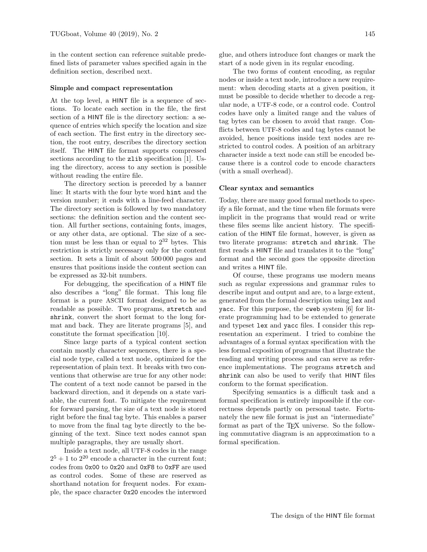in the content section can reference suitable predefined lists of parameter values specified again in the definition section, described next.

# Simple and compact representation

At the top level, a HINT file is a sequence of sections. To locate each section in the file, the first section of a HINT file is the directory section: a sequence of entries which specify the location and size of each section. The first entry in the directory section, the root entry, describes the directory section itself. The HINT file format supports compressed sections according to the zlib specification [1]. Using the directory, access to any section is possible without reading the entire file.

The directory section is preceded by a banner line: It starts with the four byte word hint and the version number; it ends with a line-feed character. The directory section is followed by two mandatory sections: the definition section and the content section. All further sections, containing fonts, images, or any other data, are optional. The size of a section must be less than or equal to  $2^{32}$  bytes. This restriction is strictly necessary only for the content section. It sets a limit of about 500 000 pages and ensures that positions inside the content section can be expressed as 32-bit numbers.

For debugging, the specification of a HINT file also describes a "long" file format. This long file format is a pure ASCII format designed to be as readable as possible. Two programs, stretch and shrink, convert the short format to the long format and back. They are literate programs [5], and constitute the format specification [10].

Since large parts of a typical content section contain mostly character sequences, there is a special node type, called a text node, optimized for the representation of plain text. It breaks with two conventions that otherwise are true for any other node: The content of a text node cannot be parsed in the backward direction, and it depends on a state variable, the current font. To mitigate the requirement for forward parsing, the size of a text node is stored right before the final tag byte. This enables a parser to move from the final tag byte directly to the beginning of the text. Since text nodes cannot span multiple paragraphs, they are usually short.

Inside a text node, all UTF-8 codes in the range  $2^5 + 1$  to  $2^{20}$  encode a character in the current font; codes from 0x00 to 0x20 and 0xF8 to 0xFF are used as control codes. Some of these are reserved as shorthand notation for frequent nodes. For example, the space character 0x20 encodes the interword glue, and others introduce font changes or mark the start of a node given in its regular encoding.

The two forms of content encoding, as regular nodes or inside a text node, introduce a new requirement: when decoding starts at a given position, it must be possible to decide whether to decode a regular node, a UTF-8 code, or a control code. Control codes have only a limited range and the values of tag bytes can be chosen to avoid that range. Conflicts between UTF-8 codes and tag bytes cannot be avoided, hence positions inside text nodes are restricted to control codes. A position of an arbitrary character inside a text node can still be encoded because there is a control code to encode characters (with a small overhead).

## Clear syntax and semantics

Today, there are many good formal methods to specify a file format, and the time when file formats were implicit in the programs that would read or write these files seems like ancient history. The specification of the HINT file format, however, is given as two literate programs: stretch and shrink. The first reads a HINT file and translates it to the "long" format and the second goes the opposite direction and writes a HINT file.

Of course, these programs use modern means such as regular expressions and grammar rules to describe input and output and are, to a large extent, generated from the formal description using lex and yacc. For this purpose, the cweb system [6] for literate programming had to be extended to generate and typeset lex and yacc files. I consider this representation an experiment. I tried to combine the advantages of a formal syntax specification with the less formal exposition of programs that illustrate the reading and writing process and can serve as reference implementations. The programs stretch and shrink can also be used to verify that HINT files conform to the format specification.

Specifying semantics is a difficult task and a formal specification is entirely impossible if the correctness depends partly on personal taste. Fortunately the new file format is just an "intermediate" format as part of the TEX universe. So the following commutative diagram is an approximation to a formal specification.